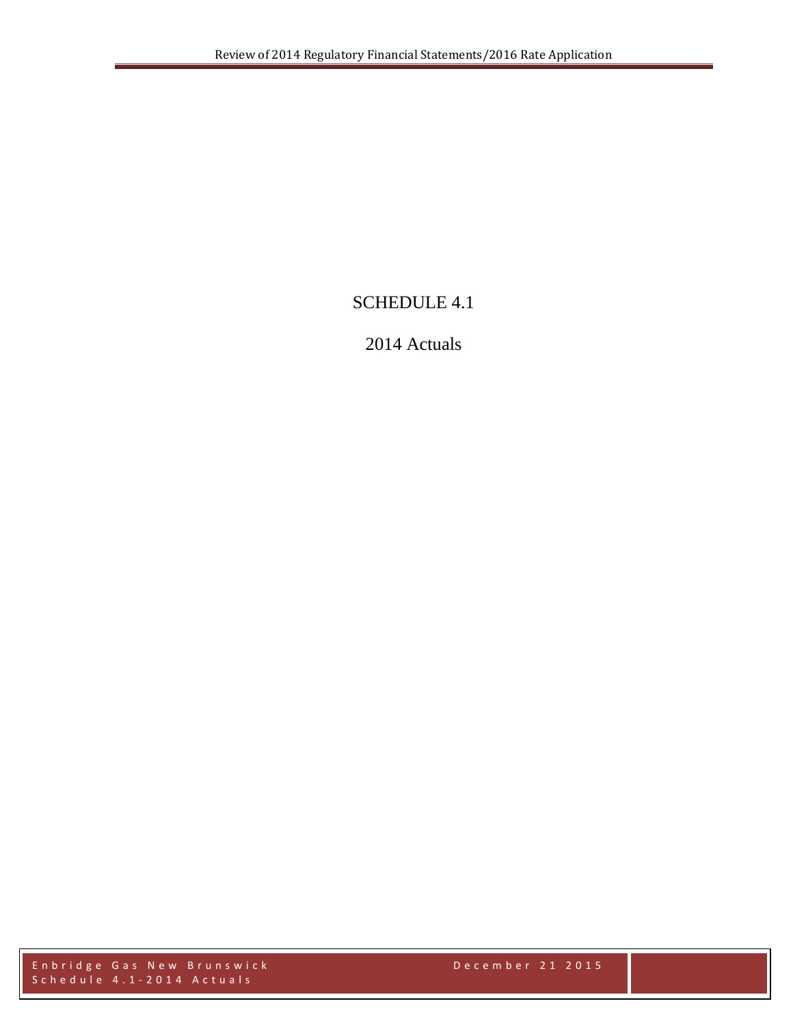# SCHEDULE 4.1

# 2014 Actuals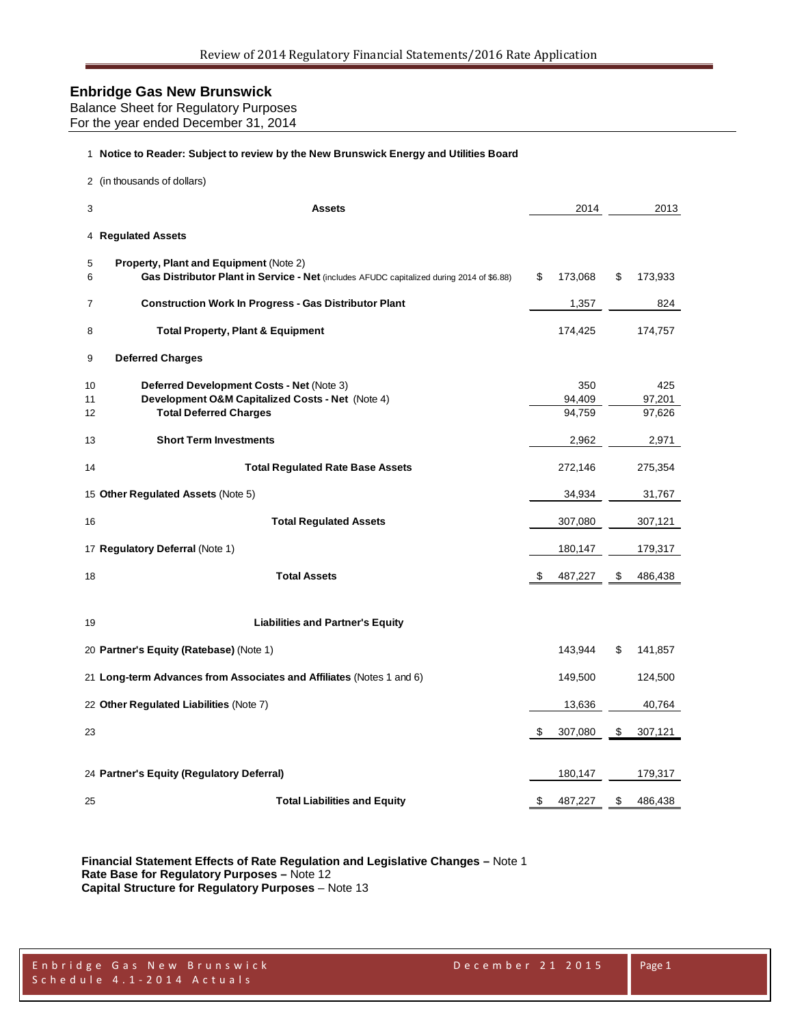Balance Sheet for Regulatory Purposes For the year ended December 31, 2014

#### **Notice to Reader: Subject to review by the New Brunswick Energy and Utilities Board**

|                | 2 (in thousands of dollars)                                                                                                                |    |                         |                         |
|----------------|--------------------------------------------------------------------------------------------------------------------------------------------|----|-------------------------|-------------------------|
| 3              | <b>Assets</b>                                                                                                                              |    | 2014                    | 2013                    |
|                | 4 Regulated Assets                                                                                                                         |    |                         |                         |
| 5<br>6         | <b>Property, Plant and Equipment (Note 2)</b><br>Gas Distributor Plant in Service - Net (includes AFUDC capitalized during 2014 of \$6.88) | \$ | 173,068                 | \$<br>173,933           |
| 7              | <b>Construction Work In Progress - Gas Distributor Plant</b>                                                                               |    | 1,357                   | 824                     |
| 8              | <b>Total Property, Plant &amp; Equipment</b>                                                                                               |    | 174,425                 | 174,757                 |
| 9              | <b>Deferred Charges</b>                                                                                                                    |    |                         |                         |
| 10<br>11<br>12 | Deferred Development Costs - Net (Note 3)<br>Development O&M Capitalized Costs - Net (Note 4)<br><b>Total Deferred Charges</b>             |    | 350<br>94,409<br>94,759 | 425<br>97,201<br>97,626 |
| 13             | <b>Short Term Investments</b>                                                                                                              |    | 2,962                   | 2,971                   |
| 14             | <b>Total Regulated Rate Base Assets</b>                                                                                                    |    | 272,146                 | 275,354                 |
|                | 15 Other Regulated Assets (Note 5)                                                                                                         |    | 34,934                  | 31,767                  |
| 16             | <b>Total Regulated Assets</b>                                                                                                              |    | 307,080                 | 307,121                 |
|                | 17 Regulatory Deferral (Note 1)                                                                                                            |    | 180,147                 | 179,317                 |
| 18             | <b>Total Assets</b>                                                                                                                        | S  | 487,227                 | \$<br>486,438           |
| 19             | <b>Liabilities and Partner's Equity</b>                                                                                                    |    |                         |                         |
|                | 20 Partner's Equity (Ratebase) (Note 1)                                                                                                    |    | 143,944                 | \$<br>141,857           |
|                | 21 Long-term Advances from Associates and Affiliates (Notes 1 and 6)                                                                       |    | 149,500                 | 124,500                 |
|                | 22 Other Regulated Liabilities (Note 7)                                                                                                    |    | 13,636                  | 40,764                  |
| 23             |                                                                                                                                            | \$ | 307,080                 | \$<br>307,121           |
|                | 24 Partner's Equity (Regulatory Deferral)                                                                                                  |    | 180,147                 | 179,317                 |
| 25             | <b>Total Liabilities and Equity</b>                                                                                                        | \$ | 487,227                 | \$<br>486,438           |

**Financial Statement Effects of Rate Regulation and Legislative Changes –** Note 1 **Rate Base for Regulatory Purposes –** Note 12 **Capital Structure for Regulatory Purposes** – Note 13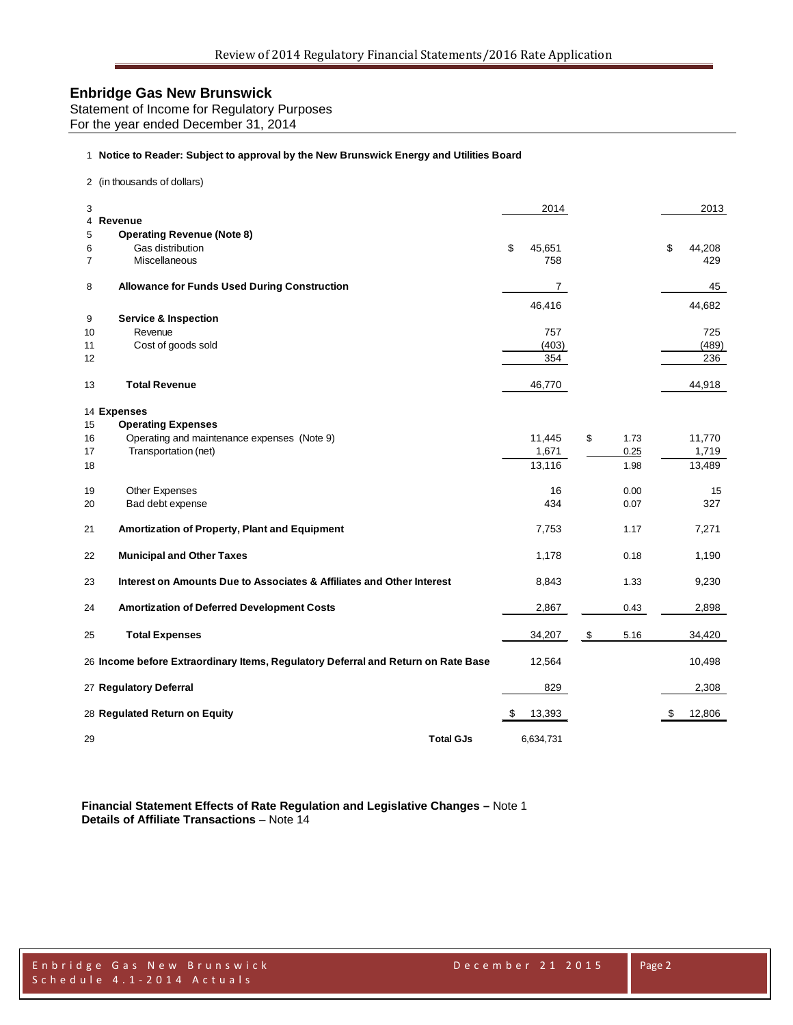Statement of Income for Regulatory Purposes For the year ended December 31, 2014

#### 1 **Notice to Reader: Subject to approval by the New Brunswick Energy and Utilities Board**

2 (in thousands of dollars)

| 3              | 4 Revenue                                                                         | 2014         |            | 2013         |
|----------------|-----------------------------------------------------------------------------------|--------------|------------|--------------|
| 5              | <b>Operating Revenue (Note 8)</b>                                                 |              |            |              |
| 6              | Gas distribution                                                                  | \$<br>45,651 |            | \$<br>44,208 |
| $\overline{7}$ | Miscellaneous                                                                     | 758          |            | 429          |
|                |                                                                                   |              |            |              |
| 8              | <b>Allowance for Funds Used During Construction</b>                               | 7            |            | 45           |
|                |                                                                                   | 46,416       |            | 44,682       |
| 9              | <b>Service &amp; Inspection</b>                                                   |              |            |              |
| 10             | Revenue                                                                           | 757          |            | 725          |
| 11             | Cost of goods sold                                                                | (403)        |            | (489)        |
| 12             |                                                                                   | 354          |            | 236          |
|                |                                                                                   |              |            |              |
| 13             | <b>Total Revenue</b>                                                              | 46,770       |            | 44,918       |
|                | 14 Expenses                                                                       |              |            |              |
| 15             | <b>Operating Expenses</b>                                                         |              |            |              |
| 16             | Operating and maintenance expenses (Note 9)                                       | 11,445       | \$<br>1.73 | 11,770       |
| 17             | Transportation (net)                                                              | 1,671        | 0.25       | 1,719        |
|                |                                                                                   | 13,116       | 1.98       | 13,489       |
| 18             |                                                                                   |              |            |              |
| 19             | Other Expenses                                                                    | 16           | 0.00       | 15           |
| 20             | Bad debt expense                                                                  | 434          | 0.07       | 327          |
|                |                                                                                   |              |            |              |
| 21             | Amortization of Property, Plant and Equipment                                     | 7,753        | 1.17       | 7,271        |
| 22             | <b>Municipal and Other Taxes</b>                                                  | 1,178        | 0.18       | 1,190        |
|                |                                                                                   |              |            |              |
| 23             | Interest on Amounts Due to Associates & Affiliates and Other Interest             | 8,843        | 1.33       | 9,230        |
|                |                                                                                   |              |            |              |
| 24             | <b>Amortization of Deferred Development Costs</b>                                 | 2,867        | 0.43       | 2,898        |
| 25             | <b>Total Expenses</b>                                                             | 34,207       | \$<br>5.16 | 34,420       |
|                | 26 Income before Extraordinary Items, Regulatory Deferral and Return on Rate Base | 12,564       |            | 10,498       |
|                |                                                                                   |              |            |              |
|                | 27 Regulatory Deferral                                                            | 829          |            | 2,308        |
|                | 28 Regulated Return on Equity                                                     | \$<br>13,393 |            | \$<br>12,806 |
|                |                                                                                   |              |            |              |
| 29             | <b>Total GJs</b>                                                                  | 6,634,731    |            |              |

**Financial Statement Effects of Rate Regulation and Legislative Changes –** Note 1 **Details of Affiliate Transactions** – Note 14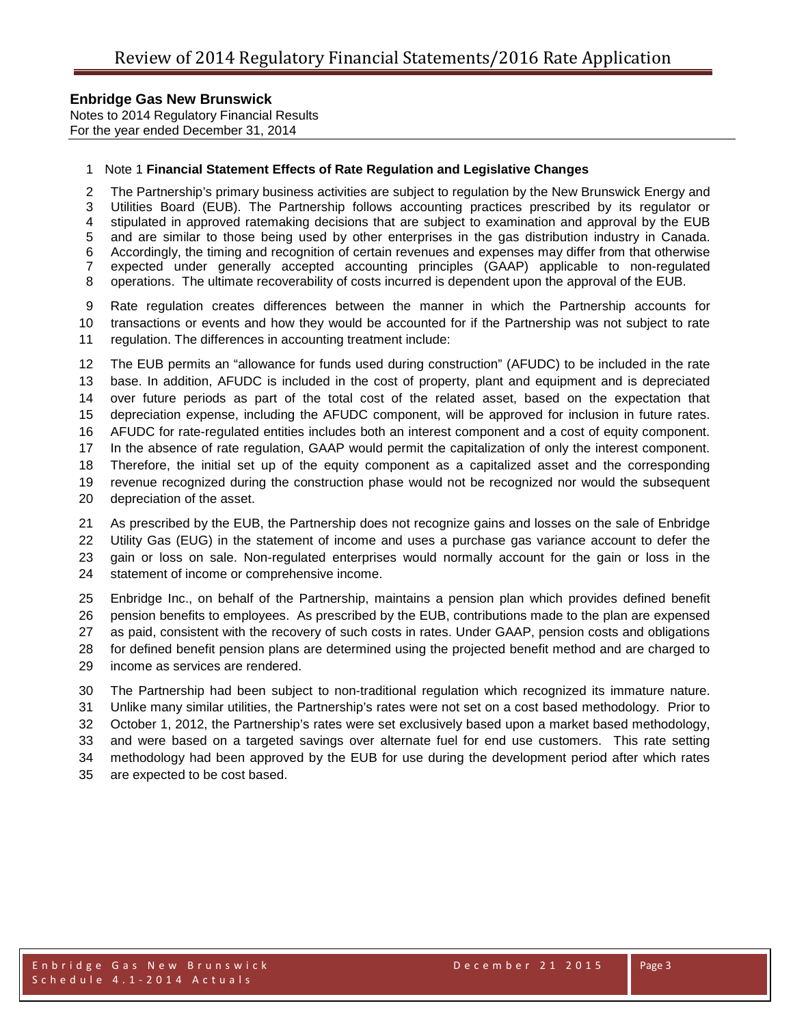Notes to 2014 Regulatory Financial Results For the year ended December 31, 2014

#### Note 1 **Financial Statement Effects of Rate Regulation and Legislative Changes**

 The Partnership's primary business activities are subject to regulation by the New Brunswick Energy and Utilities Board (EUB). The Partnership follows accounting practices prescribed by its regulator or stipulated in approved ratemaking decisions that are subject to examination and approval by the EUB and are similar to those being used by other enterprises in the gas distribution industry in Canada. Accordingly, the timing and recognition of certain revenues and expenses may differ from that otherwise expected under generally accepted accounting principles (GAAP) applicable to non-regulated operations. The ultimate recoverability of costs incurred is dependent upon the approval of the EUB.

 Rate regulation creates differences between the manner in which the Partnership accounts for transactions or events and how they would be accounted for if the Partnership was not subject to rate regulation. The differences in accounting treatment include:

 The EUB permits an "allowance for funds used during construction" (AFUDC) to be included in the rate base. In addition, AFUDC is included in the cost of property, plant and equipment and is depreciated over future periods as part of the total cost of the related asset, based on the expectation that depreciation expense, including the AFUDC component, will be approved for inclusion in future rates. AFUDC for rate-regulated entities includes both an interest component and a cost of equity component. In the absence of rate regulation, GAAP would permit the capitalization of only the interest component. Therefore, the initial set up of the equity component as a capitalized asset and the corresponding revenue recognized during the construction phase would not be recognized nor would the subsequent depreciation of the asset.

 As prescribed by the EUB, the Partnership does not recognize gains and losses on the sale of Enbridge Utility Gas (EUG) in the statement of income and uses a purchase gas variance account to defer the gain or loss on sale. Non-regulated enterprises would normally account for the gain or loss in the statement of income or comprehensive income.

 Enbridge Inc., on behalf of the Partnership, maintains a pension plan which provides defined benefit pension benefits to employees. As prescribed by the EUB, contributions made to the plan are expensed as paid, consistent with the recovery of such costs in rates. Under GAAP, pension costs and obligations for defined benefit pension plans are determined using the projected benefit method and are charged to income as services are rendered.

 The Partnership had been subject to non-traditional regulation which recognized its immature nature. Unlike many similar utilities, the Partnership's rates were not set on a cost based methodology. Prior to October 1, 2012, the Partnership's rates were set exclusively based upon a market based methodology, and were based on a targeted savings over alternate fuel for end use customers. This rate setting methodology had been approved by the EUB for use during the development period after which rates are expected to be cost based.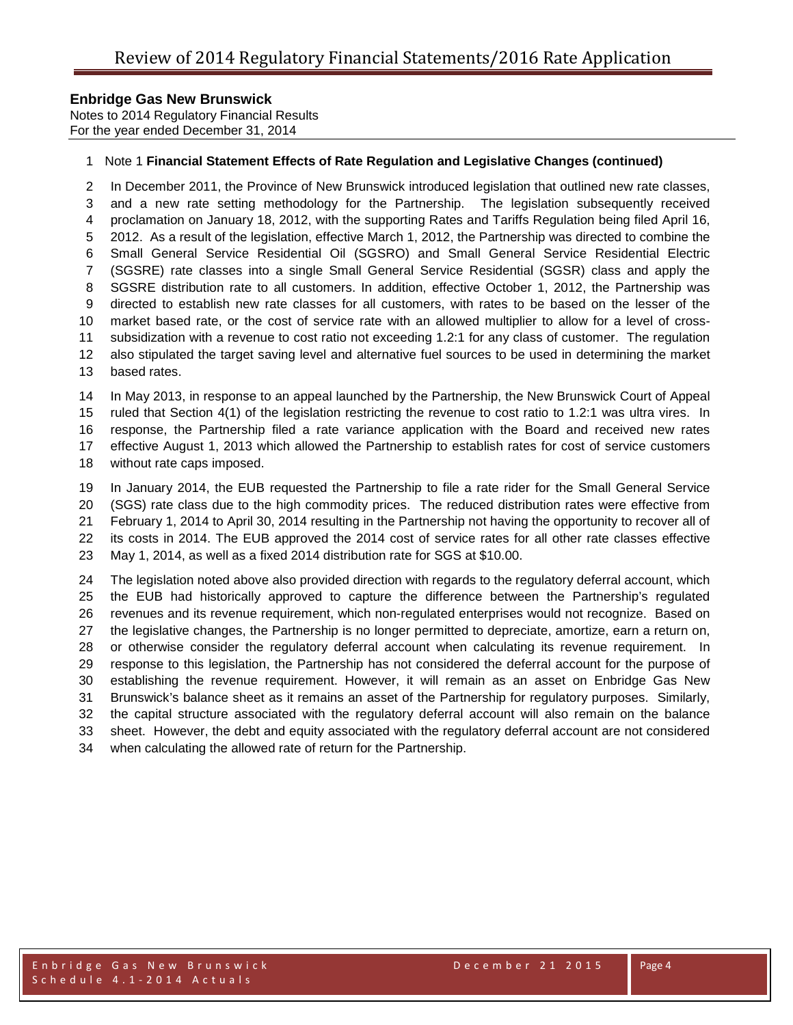Notes to 2014 Regulatory Financial Results For the year ended December 31, 2014

#### Note 1 **Financial Statement Effects of Rate Regulation and Legislative Changes (continued)**

 In December 2011, the Province of New Brunswick introduced legislation that outlined new rate classes, and a new rate setting methodology for the Partnership. The legislation subsequently received proclamation on January 18, 2012, with the supporting Rates and Tariffs Regulation being filed April 16, 2012. As a result of the legislation, effective March 1, 2012, the Partnership was directed to combine the Small General Service Residential Oil (SGSRO) and Small General Service Residential Electric (SGSRE) rate classes into a single Small General Service Residential (SGSR) class and apply the SGSRE distribution rate to all customers. In addition, effective October 1, 2012, the Partnership was directed to establish new rate classes for all customers, with rates to be based on the lesser of the market based rate, or the cost of service rate with an allowed multiplier to allow for a level of cross- subsidization with a revenue to cost ratio not exceeding 1.2:1 for any class of customer. The regulation also stipulated the target saving level and alternative fuel sources to be used in determining the market based rates. In May 2013, in response to an appeal launched by the Partnership, the New Brunswick Court of Appeal

 ruled that Section 4(1) of the legislation restricting the revenue to cost ratio to 1.2:1 was ultra vires. In response, the Partnership filed a rate variance application with the Board and received new rates effective August 1, 2013 which allowed the Partnership to establish rates for cost of service customers

without rate caps imposed.

 In January 2014, the EUB requested the Partnership to file a rate rider for the Small General Service (SGS) rate class due to the high commodity prices. The reduced distribution rates were effective from February 1, 2014 to April 30, 2014 resulting in the Partnership not having the opportunity to recover all of its costs in 2014. The EUB approved the 2014 cost of service rates for all other rate classes effective

May 1, 2014, as well as a fixed 2014 distribution rate for SGS at \$10.00.

 The legislation noted above also provided direction with regards to the regulatory deferral account, which the EUB had historically approved to capture the difference between the Partnership's regulated revenues and its revenue requirement, which non-regulated enterprises would not recognize. Based on the legislative changes, the Partnership is no longer permitted to depreciate, amortize, earn a return on, or otherwise consider the regulatory deferral account when calculating its revenue requirement. In response to this legislation, the Partnership has not considered the deferral account for the purpose of establishing the revenue requirement. However, it will remain as an asset on Enbridge Gas New Brunswick's balance sheet as it remains an asset of the Partnership for regulatory purposes. Similarly, the capital structure associated with the regulatory deferral account will also remain on the balance sheet. However, the debt and equity associated with the regulatory deferral account are not considered when calculating the allowed rate of return for the Partnership.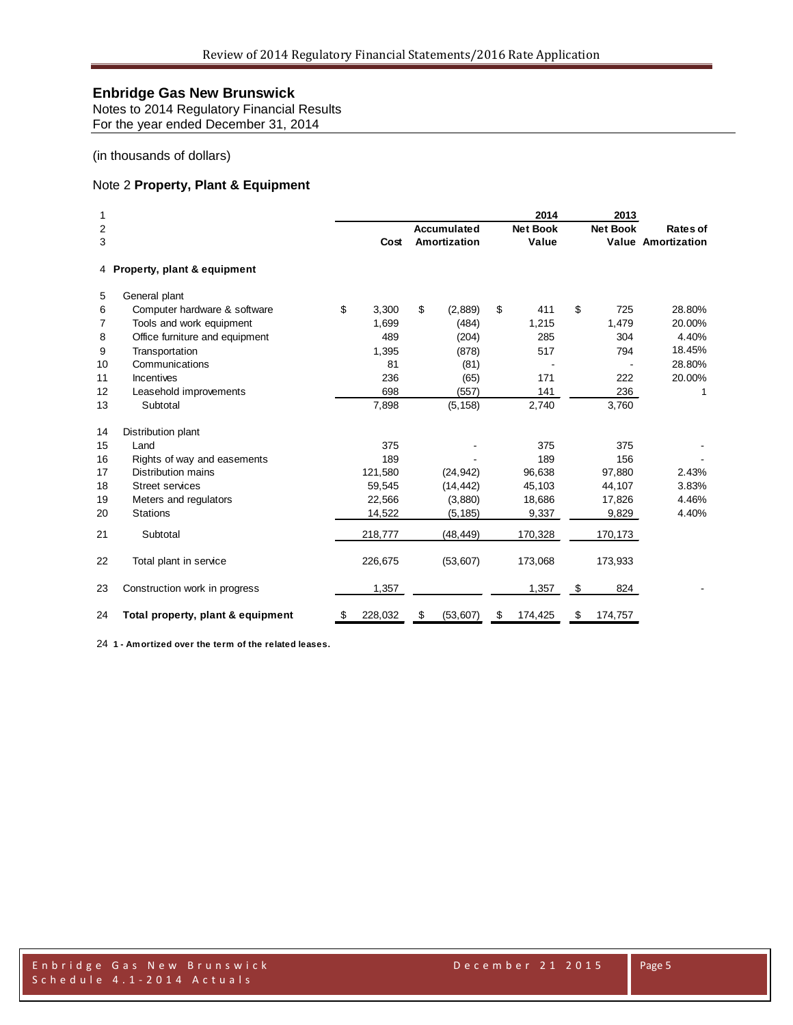Notes to 2014 Regulatory Financial Results For the year ended December 31, 2014

#### (in thousands of dollars)

### Note 2 **Property, Plant & Equipment**

| 1<br>$\overline{2}$<br>3 |                                   | Cost          | Accumulated<br>Amortization | 2014<br><b>Net Book</b><br>Value | 2013<br><b>Net Book</b> | Rates of<br><b>Value Amortization</b> |
|--------------------------|-----------------------------------|---------------|-----------------------------|----------------------------------|-------------------------|---------------------------------------|
|                          | 4 Property, plant & equipment     |               |                             |                                  |                         |                                       |
| 5                        | General plant                     |               |                             |                                  |                         |                                       |
| 6                        | Computer hardware & software      | \$<br>3,300   | \$<br>(2,889)               | \$<br>411                        | \$<br>725               | 28.80%                                |
| 7                        | Tools and work equipment          | 1,699         | (484)                       | 1,215                            | 1,479                   | 20.00%                                |
| 8                        | Office furniture and equipment    | 489           | (204)                       | 285                              | 304                     | 4.40%                                 |
| 9                        | Transportation                    | 1,395         | (878)                       | 517                              | 794                     | 18.45%                                |
| 10                       | Communications                    | 81            | (81)                        |                                  |                         | 28.80%                                |
| 11                       | <b>Incentives</b>                 | 236           | (65)                        | 171                              | 222                     | 20.00%                                |
| 12                       | Leasehold improvements            | 698           | (557)                       | 141                              | 236                     | 1                                     |
| 13                       | Subtotal                          | 7,898         | (5, 158)                    | 2,740                            | 3,760                   |                                       |
| 14                       | Distribution plant                |               |                             |                                  |                         |                                       |
| 15                       | Land                              | 375           |                             | 375                              | 375                     |                                       |
| 16                       | Rights of way and easements       | 189           |                             | 189                              | 156                     |                                       |
| 17                       | <b>Distribution mains</b>         | 121,580       | (24, 942)                   | 96,638                           | 97,880                  | 2.43%                                 |
| 18                       | <b>Street services</b>            | 59,545        | (14, 442)                   | 45,103                           | 44,107                  | 3.83%                                 |
| 19                       | Meters and regulators             | 22,566        | (3,880)                     | 18,686                           | 17,826                  | 4.46%                                 |
| 20                       | <b>Stations</b>                   | 14,522        | (5, 185)                    | 9,337                            | 9,829                   | 4.40%                                 |
| 21                       | Subtotal                          | 218,777       | (48, 449)                   | 170,328                          | 170,173                 |                                       |
| 22                       | Total plant in service            | 226,675       | (53,607)                    | 173,068                          | 173,933                 |                                       |
| 23                       | Construction work in progress     | 1,357         |                             | 1,357                            | \$<br>824               |                                       |
| 24                       | Total property, plant & equipment | \$<br>228,032 | \$<br>(53,607)              | \$<br>174,425                    | \$<br>174,757           |                                       |

**1 - Amortized over the term of the related leases.**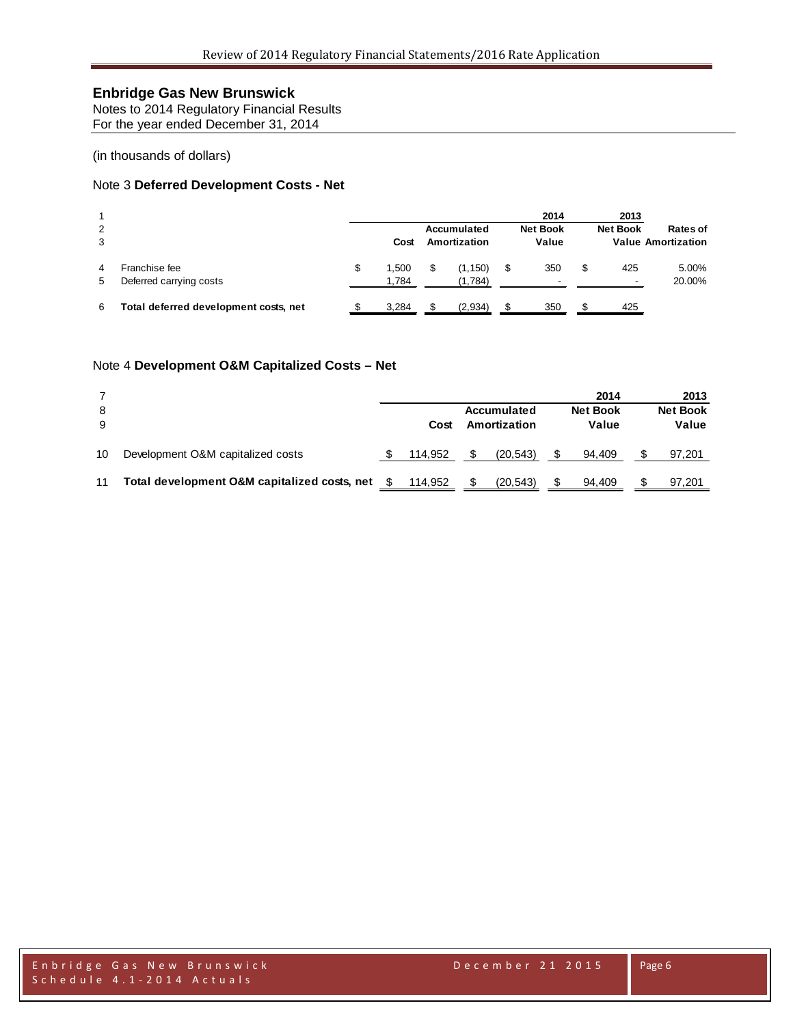Notes to 2014 Regulatory Financial Results For the year ended December 31, 2014

(in thousands of dollars)

### Note 3 **Deferred Development Costs - Net**

| 2<br>3 |                                          |   | Cost           | Accumulated<br>Amortization | 2014<br><b>Net Book</b><br>Value      | 2013<br><b>Net Book</b> | Rates of<br><b>Value Amortization</b> |
|--------|------------------------------------------|---|----------------|-----------------------------|---------------------------------------|-------------------------|---------------------------------------|
| 4<br>5 | Franchise fee<br>Deferred carrying costs | S | 1.500<br>1.784 | (1, 150)<br>(1,784)         | \$<br>350<br>$\overline{\phantom{a}}$ | 425                     | 5.00%<br>20.00%                       |
| -6     | Total deferred development costs, net    |   | 3,284          | (2,934)                     | 350                                   | 425                     |                                       |

#### Note 4 **Development O&M Capitalized Costs – Net**

|    |                                              |         |              | 2014            | 2013            |
|----|----------------------------------------------|---------|--------------|-----------------|-----------------|
| 8  |                                              |         | Accumulated  | <b>Net Book</b> | <b>Net Book</b> |
| 9  |                                              | Cost    | Amortization | Value           | Value           |
| 10 | Development O&M capitalized costs            | 114.952 | (20.543)     | 94.409          | 97,201          |
| 11 | Total development O&M capitalized costs, net | 114.952 | (20, 543)    | 94.409          | 97,201          |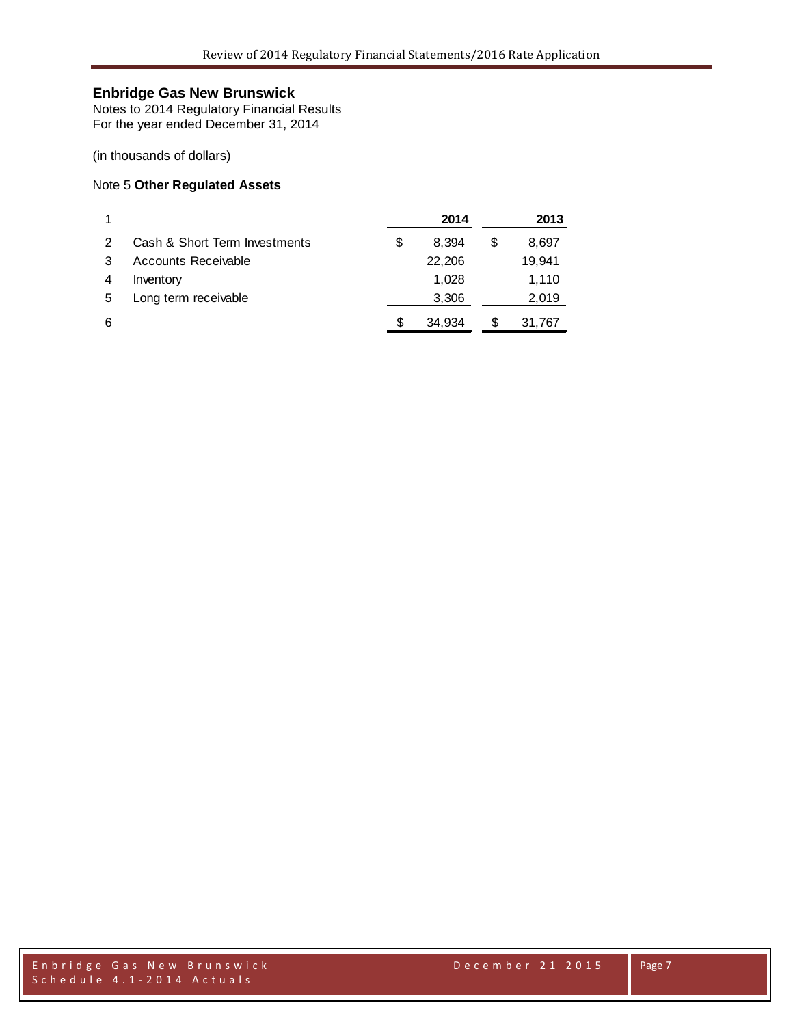Notes to 2014 Regulatory Financial Results For the year ended December 31, 2014

#### (in thousands of dollars)

### Note 5 **Other Regulated Assets**

|   |                               | 2014        |   | 2013   |
|---|-------------------------------|-------------|---|--------|
| 2 | Cash & Short Term Investments | \$<br>8.394 | S | 8,697  |
| 3 | Accounts Receivable           | 22,206      |   | 19,941 |
| 4 | Inventory                     | 1.028       |   | 1.110  |
| 5 | Long term receivable          | 3,306       |   | 2,019  |
| 6 |                               | 34.934      | S | 31,767 |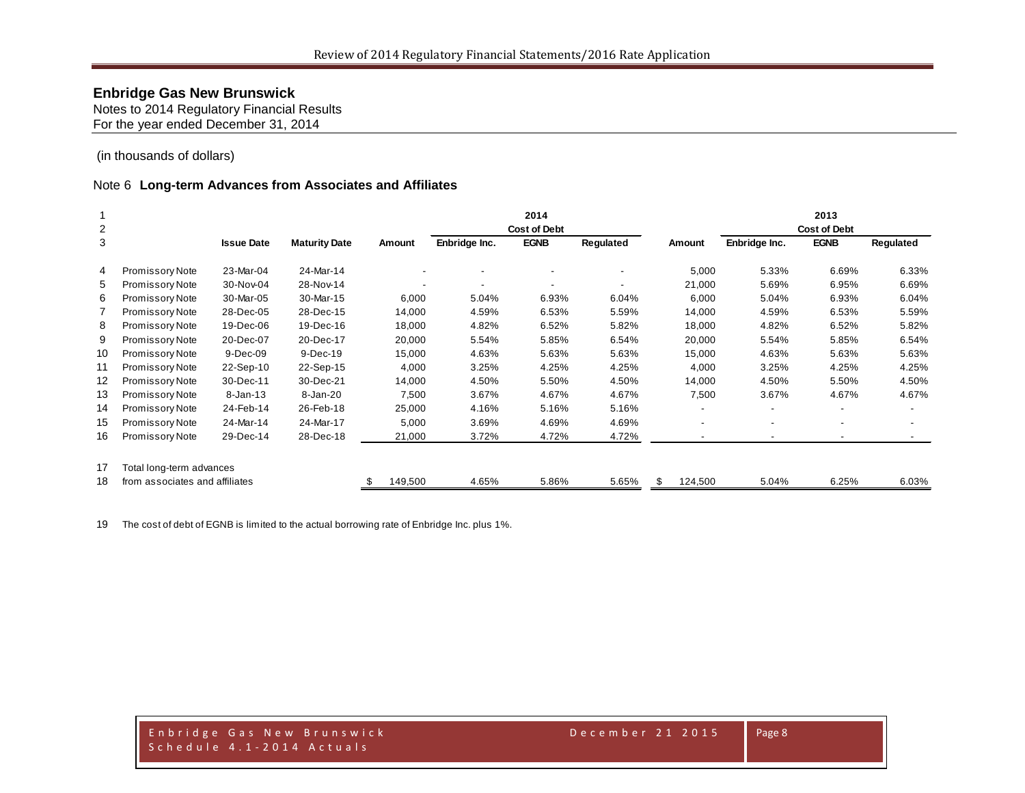Notes to 2014 Regulatory Financial Results For the year ended December 31, 2014

(in thousands of dollars)

#### Note 6 **Long-term Advances from Associates and Affiliates**

|    |                                |                   |                      |         |               | 2014                |           |              |                          | 2013                |           |
|----|--------------------------------|-------------------|----------------------|---------|---------------|---------------------|-----------|--------------|--------------------------|---------------------|-----------|
| 2  |                                |                   |                      |         |               | <b>Cost of Debt</b> |           |              |                          | <b>Cost of Debt</b> |           |
| 3  |                                | <b>Issue Date</b> | <b>Maturity Date</b> | Amount  | Enbridge Inc. | <b>EGNB</b>         | Regulated | Amount       | Enbridge Inc.            | <b>EGNB</b>         | Regulated |
| 4  | Promissory Note                | 23-Mar-04         | 24-Mar-14            |         |               |                     |           | 5,000        | 5.33%                    | 6.69%               | 6.33%     |
| 5  | Promissory Note                | 30-Nov-04         | 28-Nov-14            |         |               |                     |           | 21,000       | 5.69%                    | 6.95%               | 6.69%     |
| 6  | Promissory Note                | 30-Mar-05         | 30-Mar-15            | 6,000   | 5.04%         | 6.93%               | 6.04%     | 6,000        | 5.04%                    | 6.93%               | 6.04%     |
|    | Promissory Note                | 28-Dec-05         | 28-Dec-15            | 14,000  | 4.59%         | 6.53%               | 5.59%     | 14,000       | 4.59%                    | 6.53%               | 5.59%     |
| 8  | Promissory Note                | 19-Dec-06         | 19-Dec-16            | 18,000  | 4.82%         | 6.52%               | 5.82%     | 18,000       | 4.82%                    | 6.52%               | 5.82%     |
| 9  | Promissory Note                | 20-Dec-07         | 20-Dec-17            | 20,000  | 5.54%         | 5.85%               | 6.54%     | 20,000       | 5.54%                    | 5.85%               | 6.54%     |
| 10 | Promissory Note                | 9-Dec-09          | 9-Dec-19             | 15,000  | 4.63%         | 5.63%               | 5.63%     | 15,000       | 4.63%                    | 5.63%               | 5.63%     |
| 11 | Promissory Note                | 22-Sep-10         | 22-Sep-15            | 4,000   | 3.25%         | 4.25%               | 4.25%     | 4,000        | 3.25%                    | 4.25%               | 4.25%     |
| 12 | Promissory Note                | 30-Dec-11         | 30-Dec-21            | 14,000  | 4.50%         | 5.50%               | 4.50%     | 14,000       | 4.50%                    | 5.50%               | 4.50%     |
| 13 | Promissory Note                | 8-Jan-13          | 8-Jan-20             | 7,500   | 3.67%         | 4.67%               | 4.67%     | 7,500        | 3.67%                    | 4.67%               | 4.67%     |
| 14 | Promissory Note                | 24-Feb-14         | 26-Feb-18            | 25,000  | 4.16%         | 5.16%               | 5.16%     |              | $\overline{\phantom{a}}$ |                     |           |
| 15 | Promissory Note                | 24-Mar-14         | 24-Mar-17            | 5,000   | 3.69%         | 4.69%               | 4.69%     |              | $\overline{\phantom{a}}$ |                     |           |
| 16 | Promissory Note                | 29-Dec-14         | 28-Dec-18            | 21,000  | 3.72%         | 4.72%               | 4.72%     |              | $\overline{\phantom{a}}$ |                     |           |
| 17 | Total long-term advances       |                   |                      |         |               |                     |           |              |                          |                     |           |
| 18 | from associates and affiliates |                   |                      | 149,500 | 4.65%         | 5.86%               | 5.65%     | 124,500<br>S | 5.04%                    | 6.25%               | 6.03%     |

The cost of debt of EGNB is limited to the actual borrowing rate of Enbridge Inc. plus 1%.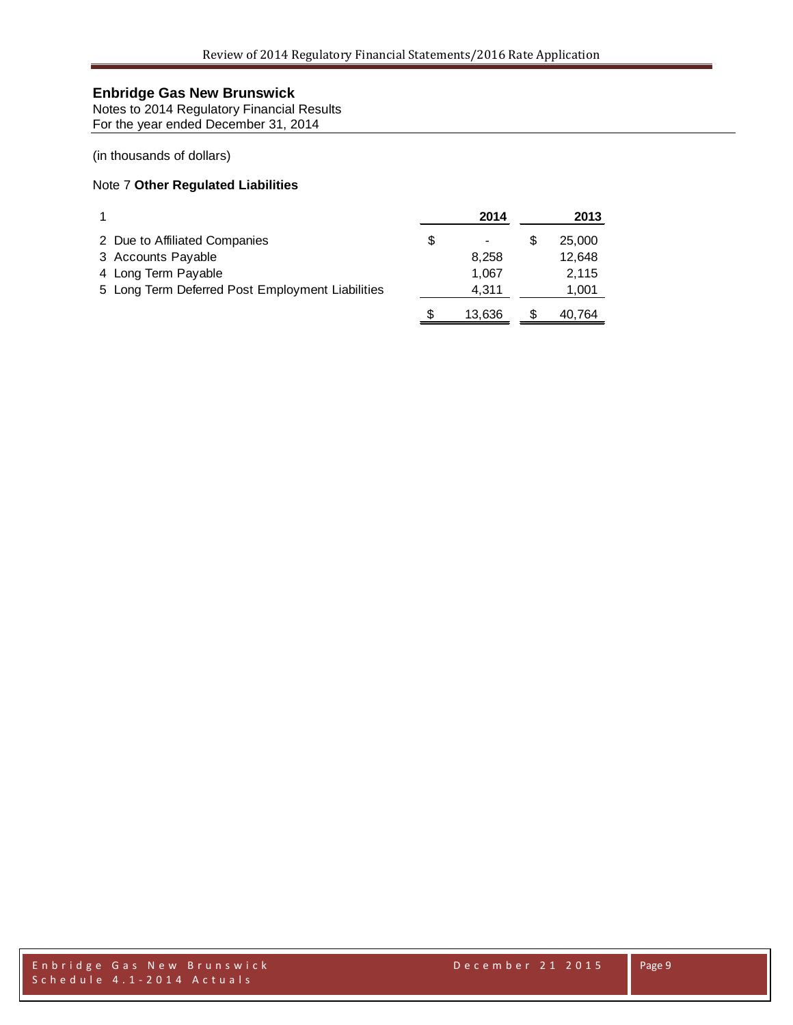Notes to 2014 Regulatory Financial Results For the year ended December 31, 2014

(in thousands of dollars)

### Note 7 **Other Regulated Liabilities**

|                                                  |   | 2014   |   | 2013   |
|--------------------------------------------------|---|--------|---|--------|
| 2 Due to Affiliated Companies                    | S |        | S | 25,000 |
| 3 Accounts Payable                               |   | 8.258  |   | 12,648 |
| 4 Long Term Payable                              |   | 1.067  |   | 2.115  |
| 5 Long Term Deferred Post Employment Liabilities |   | 4.311  |   | 1,001  |
|                                                  |   | 13.636 |   | 40,764 |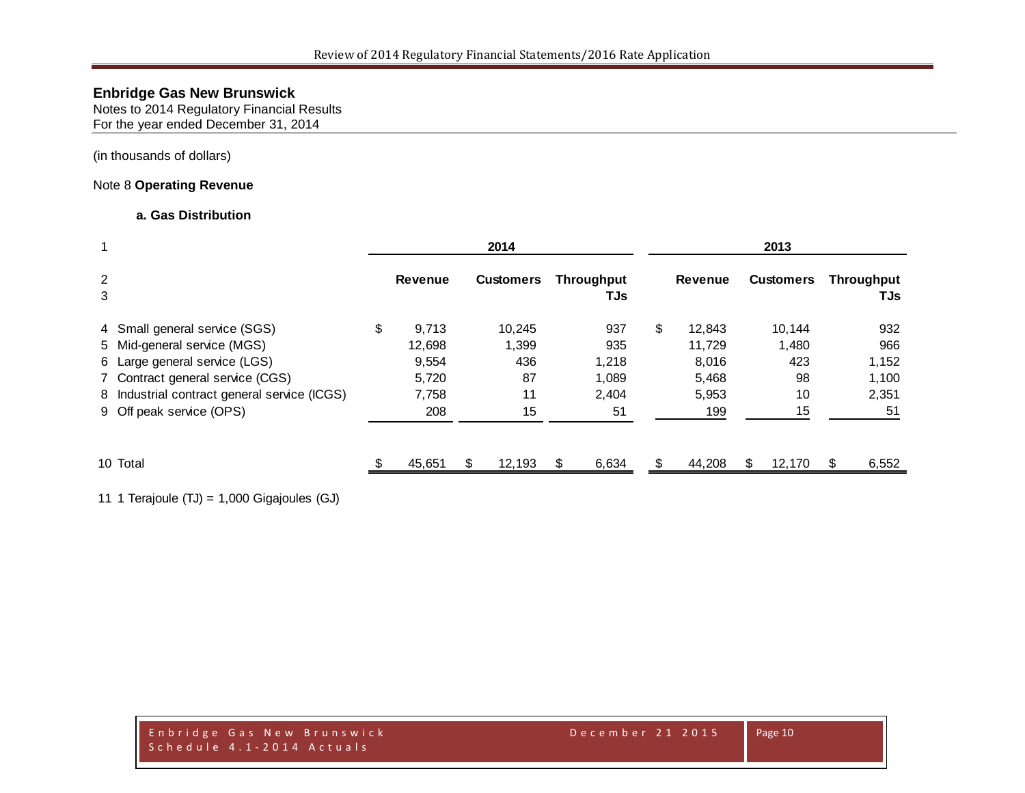Notes to 2014 Regulatory Financial Results For the year ended December 31, 2014

(in thousands of dollars)

### Note 8 **Operating Revenue**

#### **a. Gas Distribution**

|                                              | 2014 |                |    |        |                  |     |                                                       | 2013           |    |        |                   |       |  |  |  |
|----------------------------------------------|------|----------------|----|--------|------------------|-----|-------------------------------------------------------|----------------|----|--------|-------------------|-------|--|--|--|
|                                              |      | <b>Revenue</b> |    |        |                  | TJs |                                                       | <b>Revenue</b> |    |        | <b>Throughput</b> | TJs   |  |  |  |
| 4 Small general service (SGS)                | \$   | 9,713          |    | 10,245 |                  | 937 | \$                                                    | 12,843         |    | 10.144 |                   | 932   |  |  |  |
| 5 Mid-general service (MGS)                  |      | 12.698         |    | 1,399  |                  | 935 |                                                       | 11.729         |    | 1.480  |                   | 966   |  |  |  |
| 6 Large general service (LGS)                |      | 9,554          |    | 436    |                  |     |                                                       | 8,016          |    | 423    |                   | 1,152 |  |  |  |
| 7 Contract general service (CGS)             |      | 5,720          |    | 87     |                  |     |                                                       | 5,468          |    | 98     |                   | 1,100 |  |  |  |
| 8 Industrial contract general service (ICGS) |      | 7,758          |    | 11     |                  |     |                                                       | 5,953          |    | 10     |                   | 2,351 |  |  |  |
| 9 Off peak service (OPS)                     |      | 208            |    | 15     |                  | 51  |                                                       | 199            |    | 15     |                   | 51    |  |  |  |
| 10 Total                                     |      | 45,651         | \$ | 12,193 |                  |     | \$.                                                   | 44,208         | \$ | 12,170 | \$.               | 6,552 |  |  |  |
|                                              |      |                |    |        | <b>Customers</b> |     | <b>Throughput</b><br>1,218<br>1,089<br>2.404<br>6,634 |                |    |        | <b>Customers</b>  |       |  |  |  |

11 1 Terajoule (TJ) = 1,000 Gigajoules (GJ)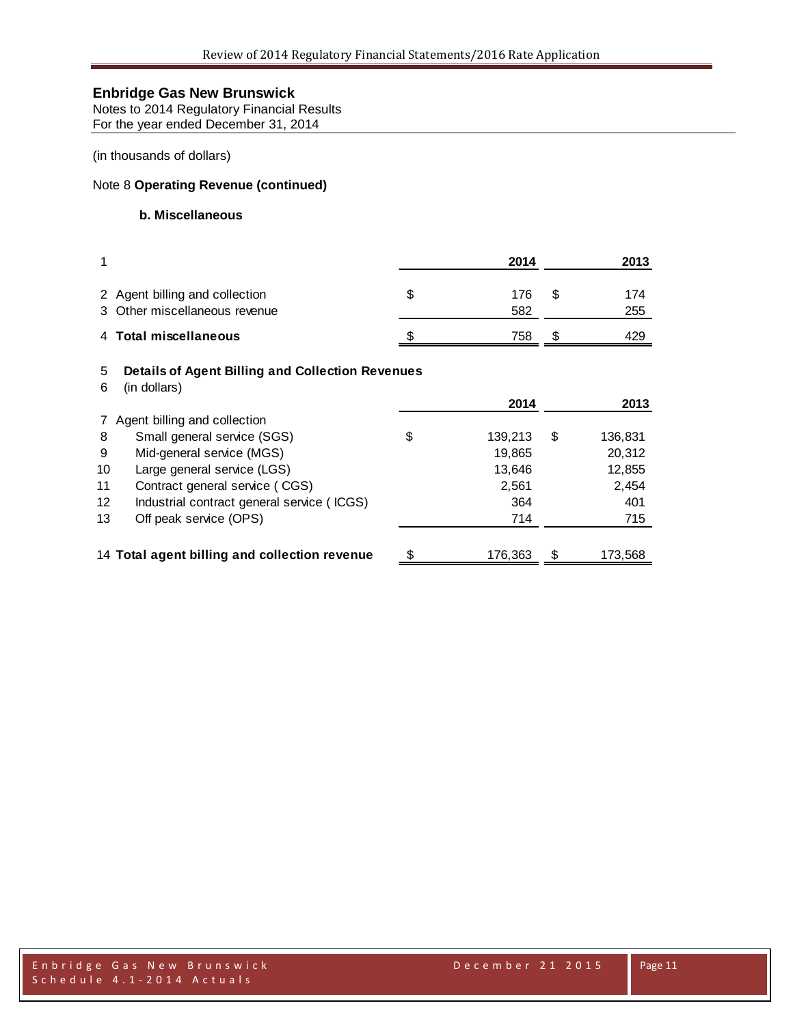Notes to 2014 Regulatory Financial Results For the year ended December 31, 2014

(in thousands of dollars)

### Note 8 **Operating Revenue (continued)**

### **b. Miscellaneous**

|              |                                                                         | 2014             |     | 2013       |
|--------------|-------------------------------------------------------------------------|------------------|-----|------------|
|              | 2 Agent billing and collection<br>3 Other miscellaneous revenue         | \$<br>176<br>582 | \$. | 174<br>255 |
| 4            | <b>Total miscellaneous</b>                                              | 758              | \$. | 429        |
| 5<br>6       | <b>Details of Agent Billing and Collection Revenues</b><br>(in dollars) | 2014             |     | 2013       |
| $\mathbf{7}$ | Agent billing and collection                                            |                  |     |            |
| 8            | Small general service (SGS)                                             | \$<br>139,213    | S   | 136,831    |
| 9            | Mid-general service (MGS)                                               | 19,865           |     | 20,312     |
| 10           | Large general service (LGS)                                             | 13,646           |     | 12,855     |
| 11           | Contract general service (CGS)                                          | 2,561            |     | 2,454      |
| 12           | Industrial contract general service (ICGS)                              | 364              |     | 401        |
| 13           | Off peak service (OPS)                                                  | 714              |     | 715        |
|              | 14 Total agent billing and collection revenue                           | \$<br>176,363    | \$  | 173,568    |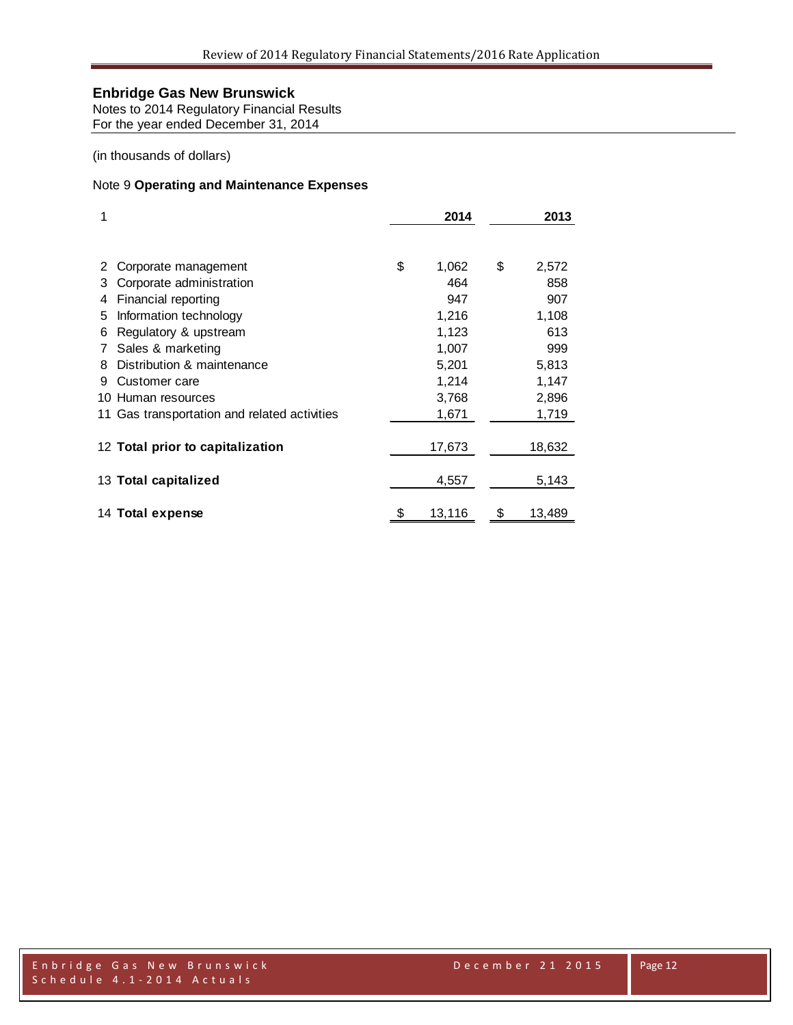Notes to 2014 Regulatory Financial Results For the year ended December 31, 2014

(in thousands of dollars)

#### Note 9 **Operating and Maintenance Expenses**

| 1   |                                              | 2014         | 2013         |
|-----|----------------------------------------------|--------------|--------------|
|     |                                              |              |              |
|     | Corporate management                         | \$<br>1,062  | \$<br>2,572  |
| 3   | Corporate administration                     | 464          | 858          |
| 4   | Financial reporting                          | 947          | 907          |
| 5   | Information technology                       | 1,216        | 1,108        |
| 6   | Regulatory & upstream                        | 1,123        | 613          |
| 7   | Sales & marketing                            | 1,007        | 999          |
| 8   | Distribution & maintenance                   | 5,201        | 5,813        |
| 9   | Customer care                                | 1,214        | 1,147        |
| 10. | Human resources                              | 3,768        | 2,896        |
|     | 11 Gas transportation and related activities | 1,671        | 1,719        |
|     | 12 Total prior to capitalization             | 17,673       | 18,632       |
|     | 13 Total capitalized                         | 4,557        | 5,143        |
|     | 14 Total expense                             | \$<br>13,116 | \$<br>13,489 |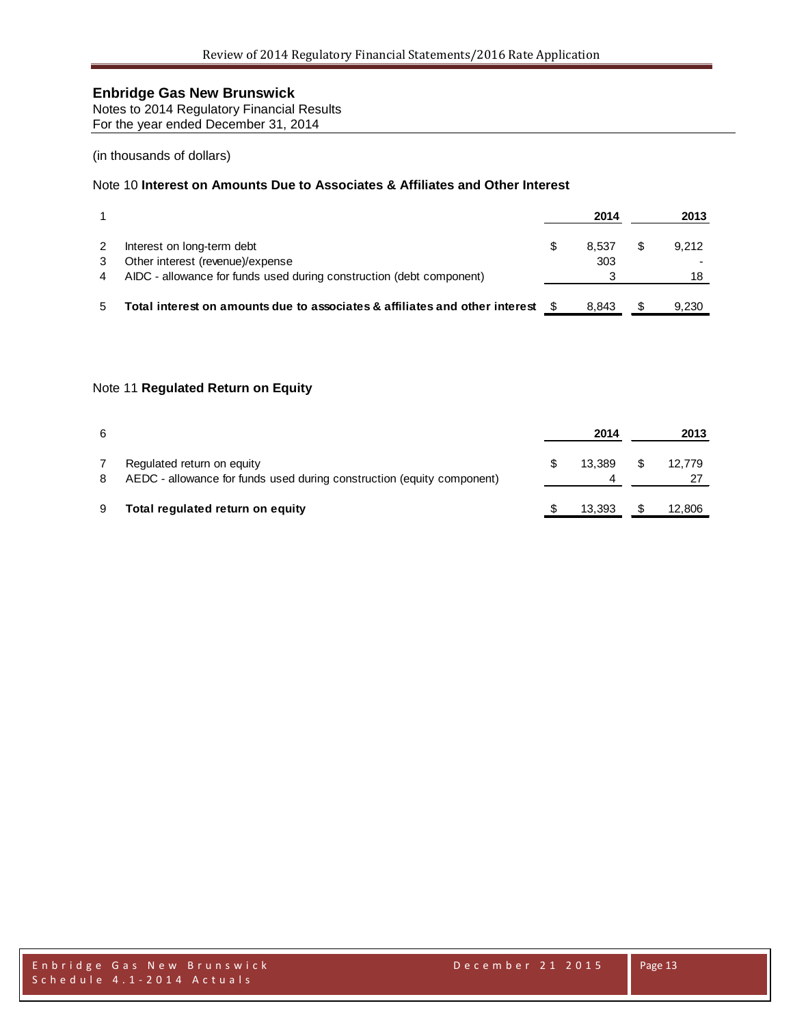Notes to 2014 Regulatory Financial Results For the year ended December 31, 2014

#### (in thousands of dollars)

### Note 10 **Interest on Amounts Due to Associates & Affiliates and Other Interest**

|                                                                             |   | 2014  | 2013  |
|-----------------------------------------------------------------------------|---|-------|-------|
| Interest on long-term debt                                                  | S | 8.537 | 9.212 |
| Other interest (revenue)/expense                                            |   | 303   |       |
| AIDC - allowance for funds used during construction (debt component)        |   |       |       |
|                                                                             |   |       |       |
| Total interest on amounts due to associates & affiliates and other interest |   | 8.843 | 9.230 |

#### Note 11 **Regulated Return on Equity**

| 6 |                                                                                                      | 2014   |    | 2013   |
|---|------------------------------------------------------------------------------------------------------|--------|----|--------|
| 8 | Regulated return on equity<br>AEDC - allowance for funds used during construction (equity component) | 13.389 | S. | 12.779 |
| 9 | Total regulated return on equity                                                                     | 13.393 |    | 12,806 |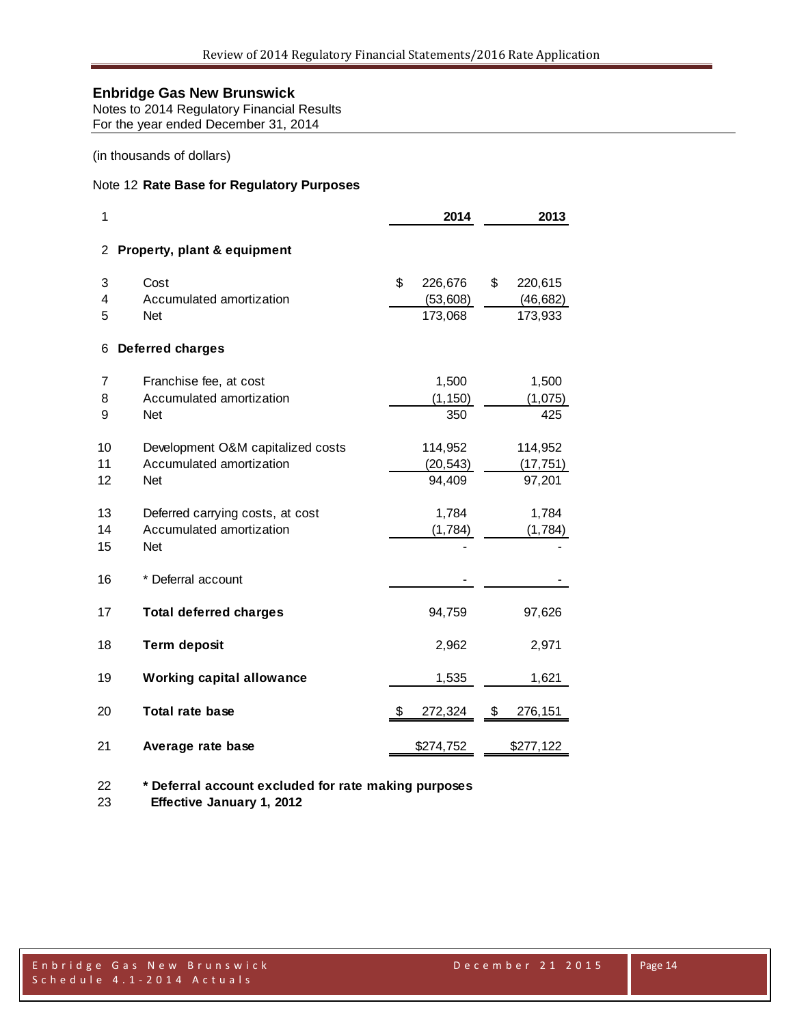Notes to 2014 Regulatory Financial Results For the year ended December 31, 2014

(in thousands of dollars)

#### Note 12 **Rate Base for Regulatory Purposes**

| 1              |                                                                             | 2014                                 | 2013                                  |  |  |
|----------------|-----------------------------------------------------------------------------|--------------------------------------|---------------------------------------|--|--|
| 2              | Property, plant & equipment                                                 |                                      |                                       |  |  |
| 3<br>4<br>5    | Cost<br>Accumulated amortization<br><b>Net</b>                              | \$<br>226,676<br>(53,608)<br>173,068 | \$<br>220,615<br>(46, 682)<br>173,933 |  |  |
| 6              | <b>Deferred charges</b>                                                     |                                      |                                       |  |  |
| 7<br>8<br>9    | Franchise fee, at cost<br>Accumulated amortization<br><b>Net</b>            | 1,500<br>(1, 150)<br>350             | 1,500<br>(1,075)<br>425               |  |  |
| 10<br>11<br>12 | Development O&M capitalized costs<br>Accumulated amortization<br><b>Net</b> | 114,952<br>(20, 543)<br>94,409       | 114,952<br>(17, 751)<br>97,201        |  |  |
| 13<br>14<br>15 | Deferred carrying costs, at cost<br>Accumulated amortization<br><b>Net</b>  | 1,784<br>(1,784)                     | 1,784<br>(1,784)                      |  |  |
| 16             | * Deferral account                                                          |                                      |                                       |  |  |
| 17             | <b>Total deferred charges</b>                                               | 94,759                               | 97,626                                |  |  |
| 18             | <b>Term deposit</b>                                                         | 2,962                                | 2,971                                 |  |  |
| 19             | <b>Working capital allowance</b>                                            | 1,535                                | 1,621                                 |  |  |
| 20             | <b>Total rate base</b>                                                      | \$<br>272,324                        | \$<br>276,151                         |  |  |
| 21             | Average rate base                                                           | \$274,752                            | \$277,122                             |  |  |

**\* Deferral account excluded for rate making purposes**

 **Effective January 1, 2012**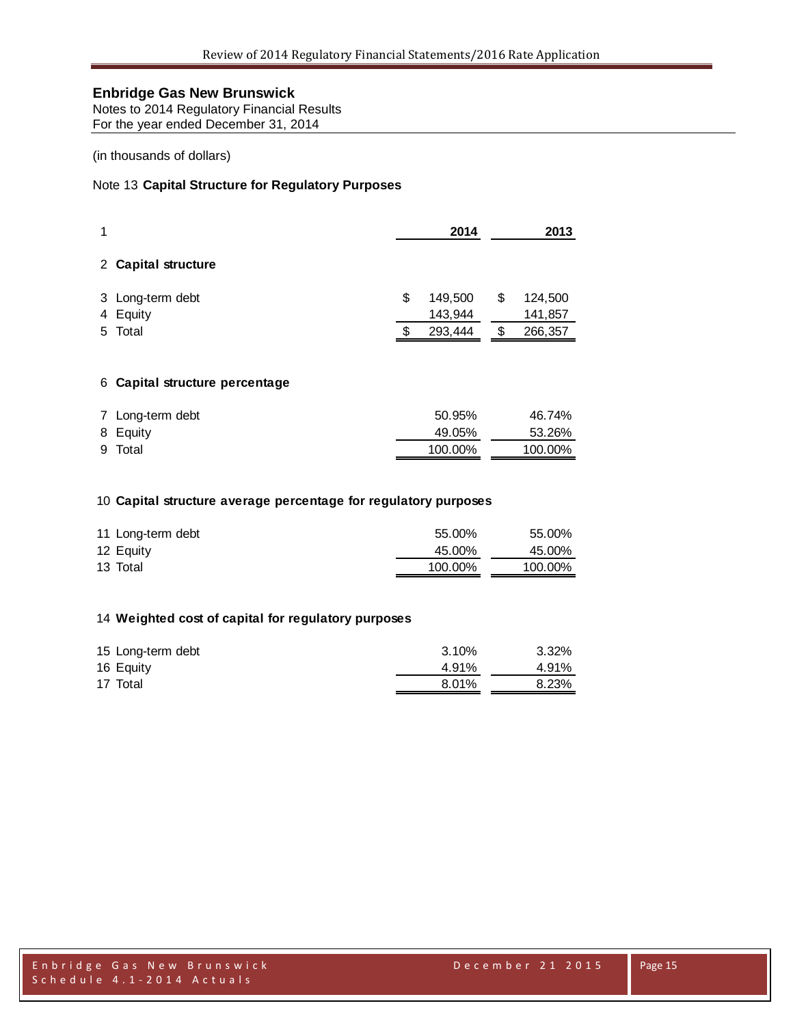Notes to 2014 Regulatory Financial Results For the year ended December 31, 2014

#### (in thousands of dollars)

### Note 13 **Capital Structure for Regulatory Purposes**

| 1 |                              | 2014 |                    | 2013 |                    |
|---|------------------------------|------|--------------------|------|--------------------|
|   | 2 Capital structure          |      |                    |      |                    |
|   | 3 Long-term debt<br>4 Equity | \$   | 149,500<br>143,944 | \$   | 124,500<br>141,857 |
|   | 5 Total                      |      | 293,444            |      | 266,357            |

#### **Capital structure percentage**

| 7 Long-term debt | 50.95%  | 46.74%  |
|------------------|---------|---------|
| 8 Equity         | 49.05%  | 53.26%  |
| 9 Total          | 100.00% | 100.00% |

#### **Capital structure average percentage for regulatory purposes**

| 11 Long-term debt | 55.00%  | 55.00%  |
|-------------------|---------|---------|
| 12 Equity         | 45.00%  | 45.00%  |
| 13 Total          | 100.00% | 100.00% |

#### **Weighted cost of capital for regulatory purposes**

| 15 Long-term debt | 3.10% | 3.32% |
|-------------------|-------|-------|
| 16 Equity         | 4.91% | 4.91% |
| 17 Total          | 8.01% | 8.23% |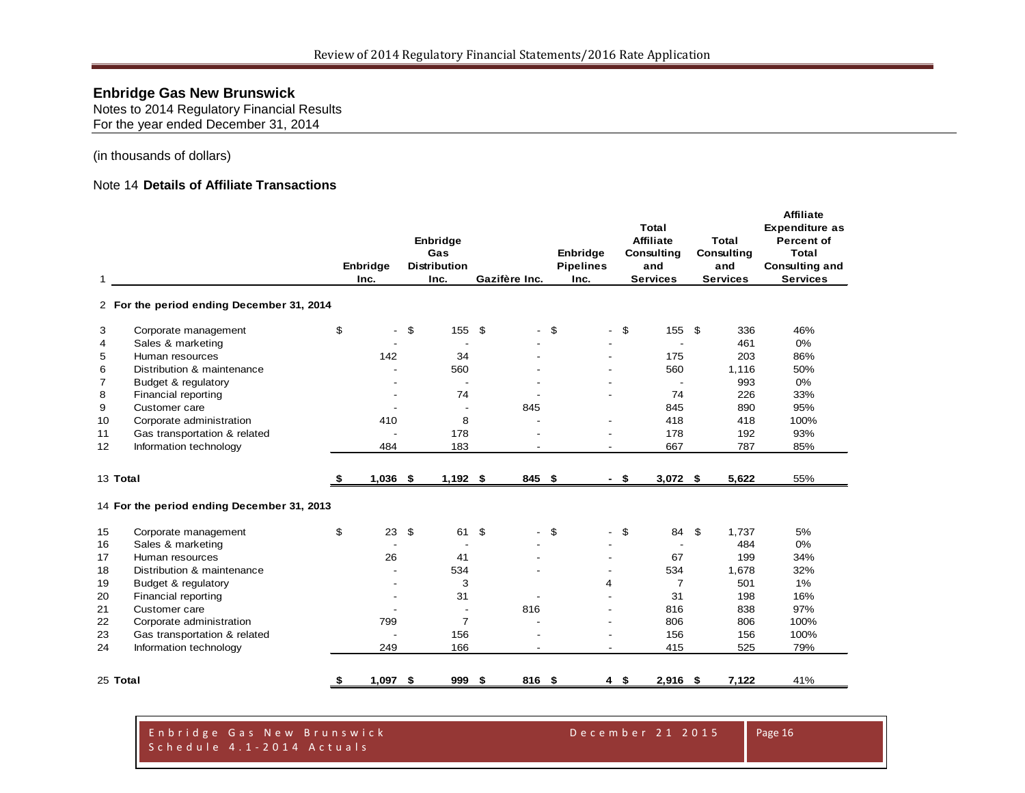Notes to 2014 Regulatory Financial Results For the year ended December 31, 2014

(in thousands of dollars)

#### Note 14 **Details of Affiliate Transactions**

| 1  | 2 For the period ending December 31, 2014  |    | Enbridge<br>Inc.         | Enbridge<br>Gas<br><b>Distribution</b><br>Inc. | Gazifère Inc. |      | Enbridge<br><b>Pipelines</b><br>Inc. |        | Total<br><b>Affiliate</b><br>Consulting<br>and<br><b>Services</b> | Total<br><b>Consulting</b><br>and<br><b>Services</b> | <b>Affiliate</b><br><b>Expenditure as</b><br><b>Percent of</b><br><b>Total</b><br><b>Consulting and</b><br><b>Services</b> |
|----|--------------------------------------------|----|--------------------------|------------------------------------------------|---------------|------|--------------------------------------|--------|-------------------------------------------------------------------|------------------------------------------------------|----------------------------------------------------------------------------------------------------------------------------|
| 3  | Corporate management                       | \$ | $\overline{\phantom{a}}$ | \$<br>155                                      | \$            | \$   | $\overline{\phantom{a}}$             | \$     | 155 \$                                                            | 336                                                  | 46%                                                                                                                        |
| 4  | Sales & marketing                          |    |                          | $\overline{\phantom{a}}$                       |               |      |                                      |        |                                                                   | 461                                                  | 0%                                                                                                                         |
| 5  | Human resources                            |    | 142                      | 34                                             |               |      |                                      |        | 175                                                               | 203                                                  | 86%                                                                                                                        |
| 6  | Distribution & maintenance                 |    |                          | 560                                            |               |      |                                      |        | 560                                                               | 1,116                                                | 50%                                                                                                                        |
| 7  | Budget & regulatory                        |    |                          | $\overline{\phantom{a}}$                       |               |      |                                      |        | $\overline{a}$                                                    | 993                                                  | 0%                                                                                                                         |
| 8  | Financial reporting                        |    |                          | 74                                             |               |      |                                      |        | 74                                                                | 226                                                  | 33%                                                                                                                        |
| 9  | Customer care                              |    |                          |                                                | 845           |      |                                      |        | 845                                                               | 890                                                  | 95%                                                                                                                        |
| 10 | Corporate administration                   |    | 410                      | 8                                              |               |      |                                      |        | 418                                                               | 418                                                  | 100%                                                                                                                       |
| 11 | Gas transportation & related               |    |                          | 178                                            |               |      |                                      |        | 178                                                               | 192                                                  | 93%                                                                                                                        |
| 12 | Information technology                     |    | 484                      | 183                                            |               |      |                                      |        | 667                                                               | 787                                                  | 85%                                                                                                                        |
|    | 13 Total                                   | S. | $1,036$ \$               | $1,192$ \$                                     | 845           | - \$ |                                      | $-$ \$ | $3,072$ \$                                                        | 5,622                                                | 55%                                                                                                                        |
|    | 14 For the period ending December 31, 2013 |    |                          |                                                |               |      |                                      |        |                                                                   |                                                      |                                                                                                                            |
| 15 | Corporate management                       | \$ | 23                       | \$<br>61                                       | \$            | \$   | $\overline{\phantom{0}}$             | \$     | 84                                                                | \$<br>1,737                                          | 5%                                                                                                                         |
| 16 | Sales & marketing                          |    | $\overline{\phantom{a}}$ | $\overline{\phantom{a}}$                       |               |      |                                      |        |                                                                   | 484                                                  | 0%                                                                                                                         |
| 17 | Human resources                            |    | 26                       | 41                                             |               |      |                                      |        | 67                                                                | 199                                                  | 34%                                                                                                                        |
| 18 | Distribution & maintenance                 |    |                          | 534                                            |               |      |                                      |        | 534                                                               | 1,678                                                | 32%                                                                                                                        |
| 19 | Budget & regulatory                        |    |                          | 3                                              |               |      | 4                                    |        | 7                                                                 | 501                                                  | 1%                                                                                                                         |
| 20 | Financial reporting                        |    |                          | 31                                             |               |      |                                      |        | 31                                                                | 198                                                  | 16%                                                                                                                        |
| 21 | Customer care                              |    |                          | $\overline{\phantom{a}}$                       | 816           |      |                                      |        | 816                                                               | 838                                                  | 97%                                                                                                                        |
| 22 | Corporate administration                   |    | 799                      | $\overline{7}$                                 |               |      |                                      |        | 806                                                               | 806                                                  | 100%                                                                                                                       |
| 23 | Gas transportation & related               |    |                          | 156                                            |               |      | $\overline{\phantom{a}}$             |        | 156                                                               | 156                                                  | 100%                                                                                                                       |
| 24 | Information technology                     |    | 249                      | 166                                            | $\sim$        |      | $\overline{\phantom{a}}$             |        | 415                                                               | 525                                                  | 79%                                                                                                                        |
|    | 25 Total                                   | S  | $1,097$ \$               | 999                                            | \$<br>816 \$  |      | $4 \quad$                            |        | $2,916$ \$                                                        | 7,122                                                | 41%                                                                                                                        |

Enbridge Gas New Brunswick December 21 2015 Schedule 4.1 - 2014 Actuals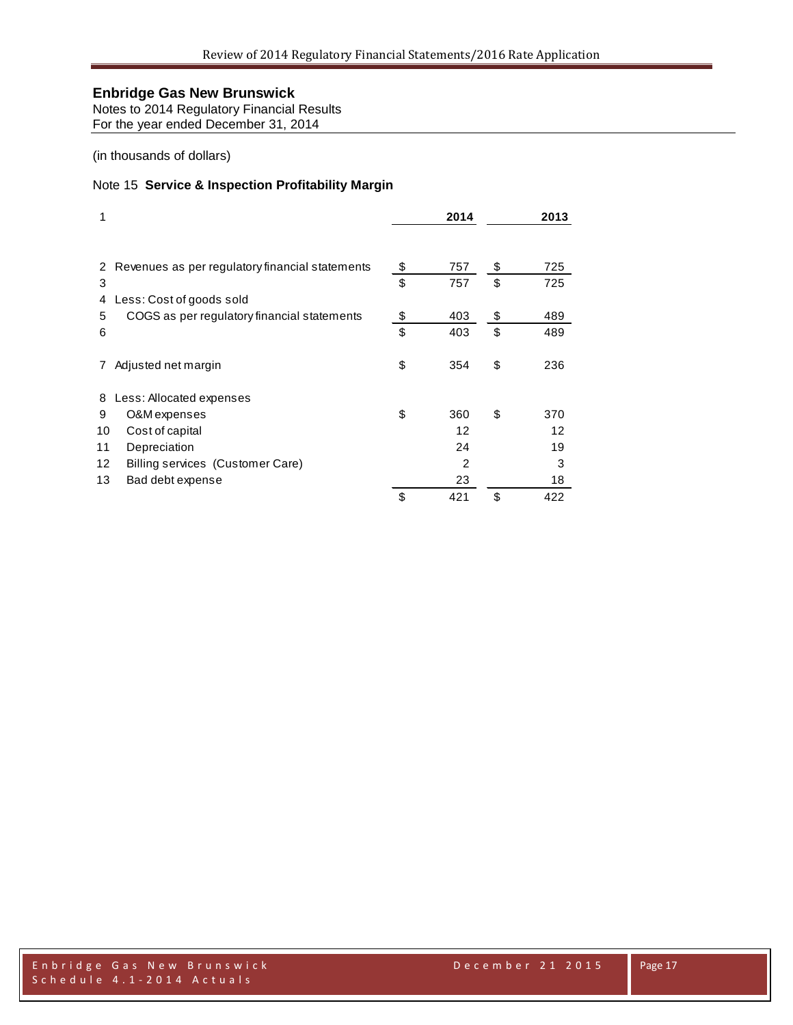Notes to 2014 Regulatory Financial Results For the year ended December 31, 2014

(in thousands of dollars)

#### Note 15 **Service & Inspection Profitability Margin**

| 1  |                                                 | 2014      | 2013      |
|----|-------------------------------------------------|-----------|-----------|
| 2  | Revenues as per regulatory financial statements | \$<br>757 | \$<br>725 |
| 3  |                                                 | \$<br>757 | \$<br>725 |
| 4  | Less: Cost of goods sold                        |           |           |
| 5  | COGS as per regulatory financial statements     | \$<br>403 | \$<br>489 |
| 6  |                                                 | \$<br>403 | \$<br>489 |
|    | Adjusted net margin                             | \$<br>354 | \$<br>236 |
| 8  | Less: Allocated expenses                        |           |           |
| 9  | O&M expenses                                    | \$<br>360 | \$<br>370 |
| 10 | Cost of capital                                 | 12        | 12        |
| 11 | Depreciation                                    | 24        | 19        |
| 12 | Billing services (Customer Care)                | 2         | 3         |
| 13 | Bad debt expense                                | 23        | 18        |
|    |                                                 | \$<br>421 | \$<br>422 |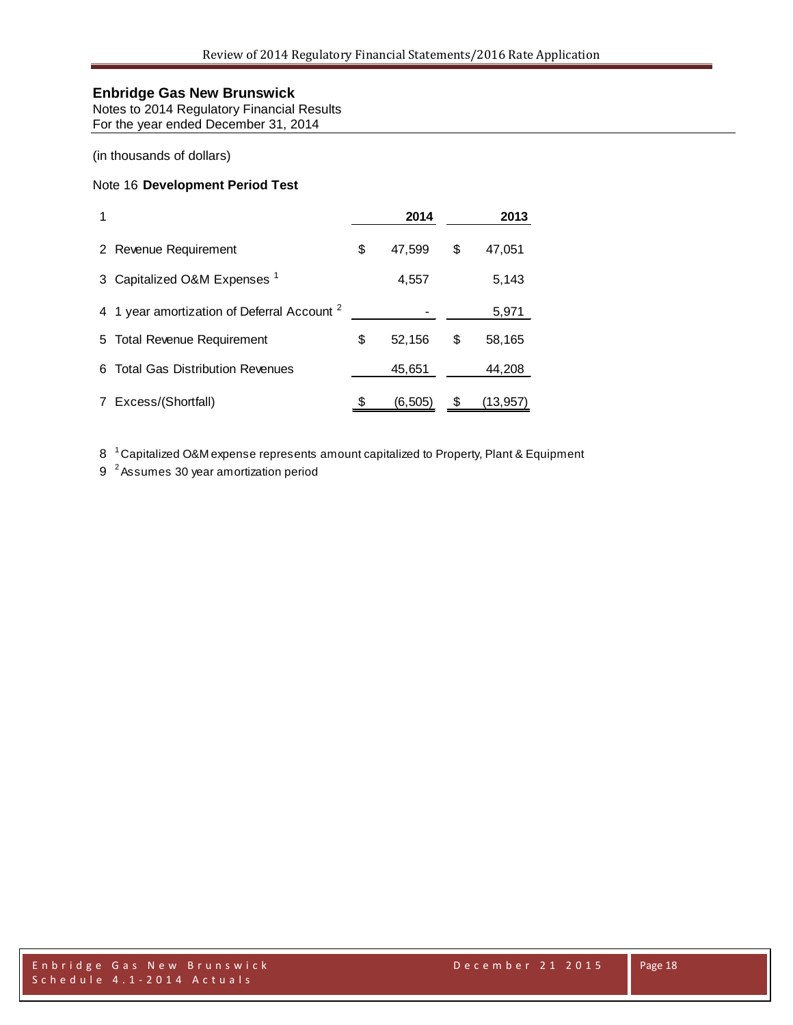Notes to 2014 Regulatory Financial Results For the year ended December 31, 2014

(in thousands of dollars)

### Note 16 **Development Period Test**

|             |                                                        | 2014         |    | 2013     |
|-------------|--------------------------------------------------------|--------------|----|----------|
|             | 2 Revenue Requirement                                  | \$<br>47,599 | \$ | 47,051   |
| 3           | Capitalized O&M Expenses <sup>1</sup>                  | 4,557        |    | 5,143    |
|             | 4 1 year amortization of Deferral Account <sup>2</sup> |              |    | 5,971    |
|             | 5 Total Revenue Requirement                            | \$<br>52,156 | S  | 58,165   |
| 6.          | <b>Total Gas Distribution Revenues</b>                 | 45,651       |    | 44,208   |
| $7^{\circ}$ | Excess/(Shortfall)                                     | (6, 505)     |    | (13,957) |

8<sup>1</sup> Capitalized O&M expense represents amount capitalized to Property, Plant & Equipment

9<sup>2</sup> Assumes 30 year amortization period